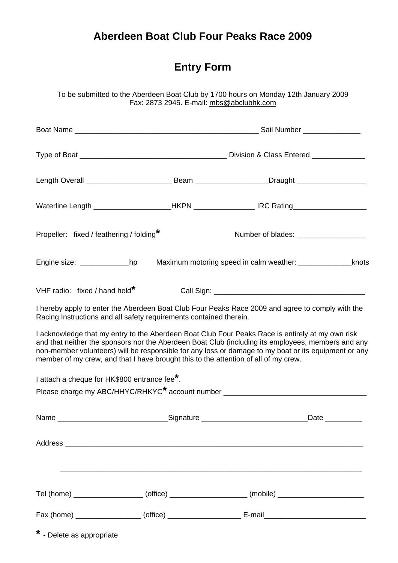## **Aberdeen Boat Club Four Peaks Race 2009**

To be submitted to the Aberdeen Boat Club by 1700 hours on Monday 12th January 2009 Fax: 2873 2945. E-mail: mbs@abclubhk.com

|                                                                    |           | Length Overall _________________________________Beam ____________________Draught ___________________                                                                                                                                                                                                                                                                                                  |      |
|--------------------------------------------------------------------|-----------|-------------------------------------------------------------------------------------------------------------------------------------------------------------------------------------------------------------------------------------------------------------------------------------------------------------------------------------------------------------------------------------------------------|------|
|                                                                    |           | Waterline Length _____________________HKPN ______________________IRC Rating________________________                                                                                                                                                                                                                                                                                                   |      |
| Propeller: fixed / feathering / folding*                           |           | Number of blades: __________________                                                                                                                                                                                                                                                                                                                                                                  |      |
|                                                                    |           | Engine size: ______________________hp Maximum motoring speed in calm weather: _____________________knots                                                                                                                                                                                                                                                                                              |      |
| VHF radio: fixed / hand held*                                      |           |                                                                                                                                                                                                                                                                                                                                                                                                       |      |
| Racing Instructions and all safety requirements contained therein. |           | I hereby apply to enter the Aberdeen Boat Club Four Peaks Race 2009 and agree to comply with the                                                                                                                                                                                                                                                                                                      |      |
|                                                                    |           | I acknowledge that my entry to the Aberdeen Boat Club Four Peaks Race is entirely at my own risk<br>and that neither the sponsors nor the Aberdeen Boat Club (including its employees, members and any<br>non-member volunteers) will be responsible for any loss or damage to my boat or its equipment or any<br>member of my crew, and that I have brought this to the attention of all of my crew. |      |
| I attach a cheque for HK\$800 entrance fee*.                       |           |                                                                                                                                                                                                                                                                                                                                                                                                       |      |
|                                                                    |           |                                                                                                                                                                                                                                                                                                                                                                                                       |      |
| Name                                                               | Signature |                                                                                                                                                                                                                                                                                                                                                                                                       | Date |
|                                                                    |           |                                                                                                                                                                                                                                                                                                                                                                                                       |      |
|                                                                    |           |                                                                                                                                                                                                                                                                                                                                                                                                       |      |
|                                                                    |           | Tel (home) ____________________ (office) ___________________ (mobile) ______________________                                                                                                                                                                                                                                                                                                          |      |
|                                                                    |           |                                                                                                                                                                                                                                                                                                                                                                                                       |      |

**\*** - Delete as appropriate